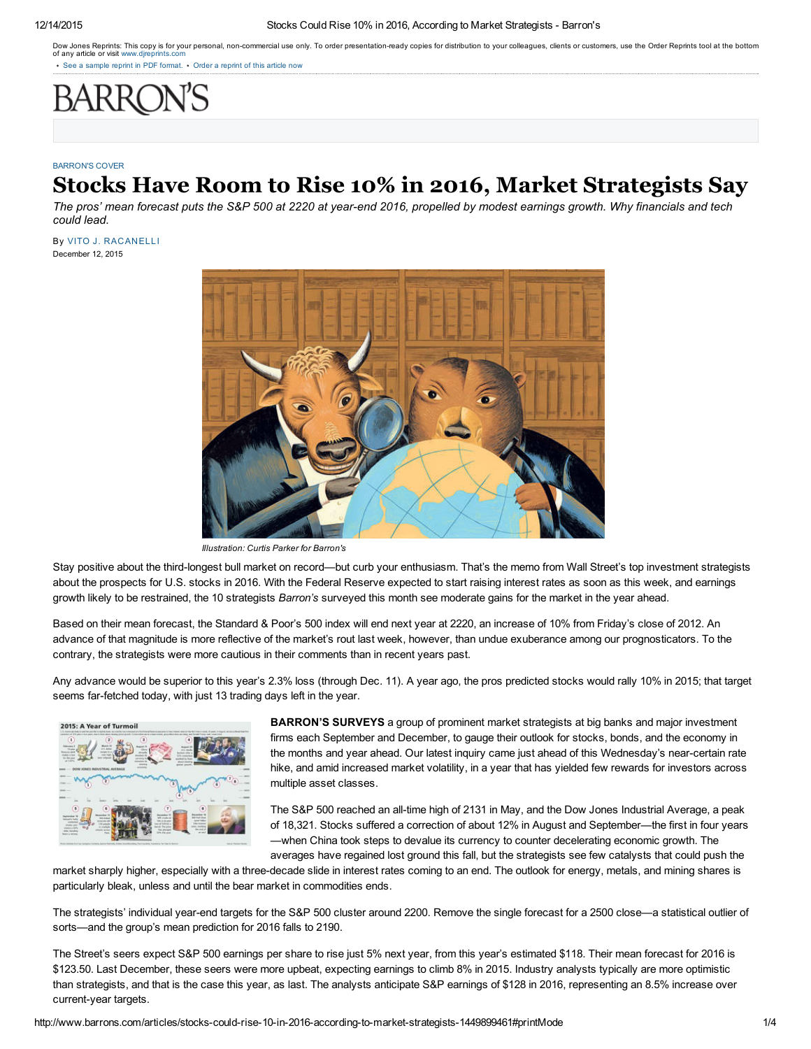#### 12/14/2015 Stocks Could Rise 10% in 2016, According to Market Strategists Barron's

Dow Jones Reprints: This copy is for your personal, non-commercial use only. To order presentation-ready copies for distribution to your colleagues, clients or customers, use the Order Reprints tool at the bottom of any article or visit www.dir

See a [sample](http://online.barrons.com/static_html_files/barrons/barrons-reprint-sample.pdf) reprint in PDF format. • Order a reprint of this article now

#### [BARRON'S](http://www.barrons.com/page/pastedition.html) COVER

# Stocks Have Room to Rise 10% in 2016, Market Strategists Say

The pros' mean forecast puts the S&P 500 at 2220 at year-end 2016, propelled by modest earnings growth. Why financials and tech *could lead.*

December 12, 2015 By VITO J. [RACANELLI](http://topics.barrons.com/person/R/vito-j-racanelli/6154)



*Illustration: Curtis Parker for Barron's*

Stay positive about the third-longest bull market on record—but curb your enthusiasm. That's the memo from Wall Street's top investment strategists about the prospects for U.S. stocks in 2016. With the Federal Reserve expected to start raising interest rates as soon as this week, and earnings growth likely to be restrained, the 10 strategists *Barron's* surveyed this month see moderate gains for the market in the year ahead.

Based on their mean forecast, the Standard & Poor's 500 index will end next year at 2220, an increase of 10% from Friday's close of 2012. An advance of that magnitude is more reflective of the market's rout last week, however, than undue exuberance among our prognosticators. To the contrary, the strategists were more cautious in their comments than in recent years past.

Any advance would be superior to this year's 2.3% loss (through Dec. 11). A year ago, the pros predicted stocks would rally 10% in 2015; that target seems far-fetched today, with just 13 trading days left in the year.



BARRON'S SURVEYS a group of prominent market strategists at big banks and major investment firms each September and December, to gauge their outlook for stocks, bonds, and the economy in the months and year ahead. Our latest inquiry came just ahead of this Wednesday's near-certain rate hike, and amid increased market volatility, in a year that has yielded few rewards for investors across multiple asset classes.

The S&P 500 reached an all-time high of 2131 in May, and the Dow Jones Industrial Average, a peak of 18,321. Stocks suffered a correction of about 12% in August and September—the first in four years —when China took steps to devalue its currency to counter decelerating economic growth. The averages have regained lost ground this fall, but the strategists see few catalysts that could push the

market sharply higher, especially with a three-decade slide in interest rates coming to an end. The outlook for energy, metals, and mining shares is particularly bleak, unless and until the bear market in commodities ends.

The strategists' individual year-end targets for the S&P 500 cluster around 2200. Remove the single forecast for a 2500 close—a statistical outlier of sorts—and the group's mean prediction for 2016 falls to 2190.

The Street's seers expect S&P 500 earnings per share to rise just 5% next year, from this year's estimated \$118. Their mean forecast for 2016 is \$123.50. Last December, these seers were more upbeat, expecting earnings to climb 8% in 2015. Industry analysts typically are more optimistic than strategists, and that is the case this year, as last. The analysts anticipate S&P earnings of \$128 in 2016, representing an 8.5% increase over current-year targets.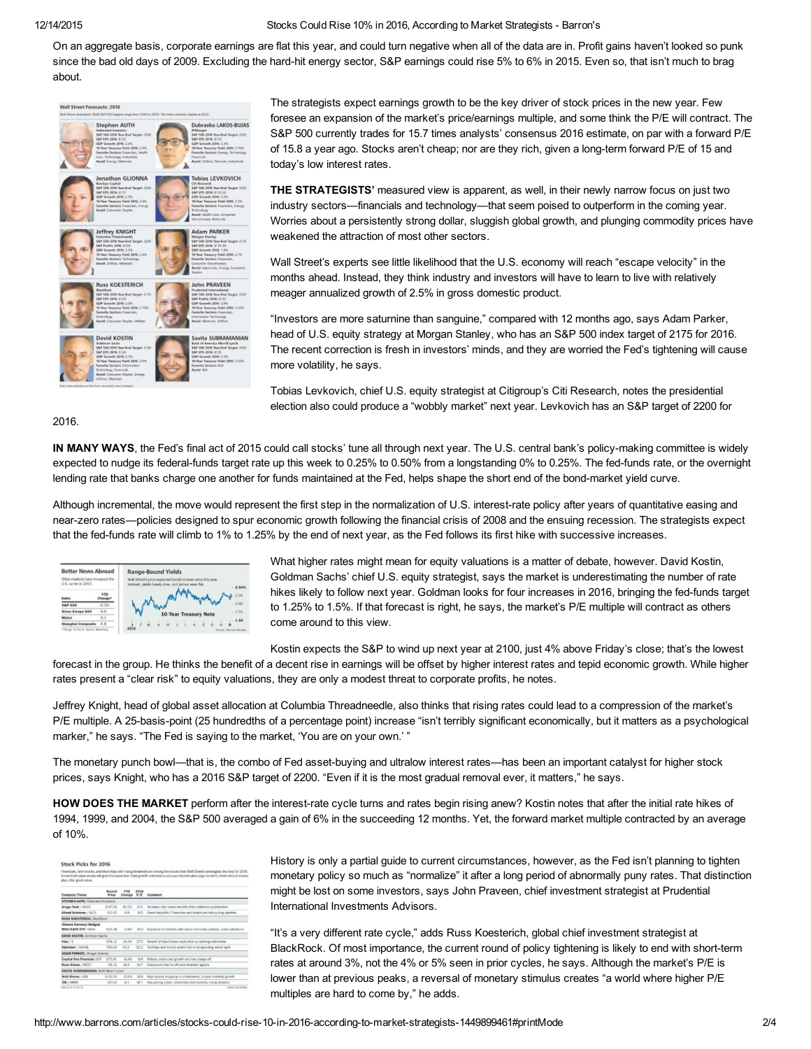### 12/14/2015 Stocks Could Rise 10% in 2016, According to Market Strategists Barron's

On an aggregate basis, corporate earnings are flat this year, and could turn negative when all of the data are in. Profit gains haven't looked so punk since the bad old days of 2009. Excluding the hard-hit energy sector, S&P earnings could rise 5% to 6% in 2015. Even so, that isn't much to brag about.



The strategists expect earnings growth to be the key driver of stock prices in the new year. Few foresee an expansion of the market's price/earnings multiple, and some think the P/E will contract. The S&P 500 currently trades for 15.7 times analysts' consensus 2016 estimate, on par with a forward P/E of 15.8 a year ago. Stocks aren't cheap; nor are they rich, given a long-term forward P/E of 15 and today's low interest rates.

THE STRATEGISTS' measured view is apparent, as well, in their newly narrow focus on just two industry sectors—financials and technology—that seem poised to outperform in the coming year. Worries about a persistently strong dollar, sluggish global growth, and plunging commodity prices have weakened the attraction of most other sectors.

Wall Street's experts see little likelihood that the U.S. economy will reach "escape velocity" in the months ahead. Instead, they think industry and investors will have to learn to live with relatively meager annualized growth of 2.5% in gross domestic product.

"Investors are more saturnine than sanguine," compared with 12 months ago, says Adam Parker, head of U.S. equity strategy at Morgan Stanley, who has an S&P 500 index target of 2175 for 2016. The recent correction is fresh in investors' minds, and they are worried the Fed's tightening will cause more volatility, he says.

Tobias Levkovich, chief U.S. equity strategist at Citigroup's Citi Research, notes the presidential election also could produce a "wobbly market" next year. Levkovich has an S&P target of 2200 for

# 2016.

IN MANY WAYS, the Fed's final act of 2015 could call stocks' tune all through next year. The U.S. central bank's policy-making committee is widely expected to nudge its federal-funds target rate up this week to 0.25% to 0.50% from a longstanding 0% to 0.25%. The fed-funds rate, or the overnight lending rate that banks charge one another for funds maintained at the Fed, helps shape the short end of the bond-market yield curve.

Although incremental, the move would represent the first step in the normalization of U.S. interest-rate policy after years of quantitative easing and nearzero rates—policies designed to spur economic growth following the financial crisis of 2008 and the ensuing recession. The strategists expect that the fed-funds rate will climb to 1% to 1.25% by the end of next year, as the Fed follows its first hike with successive increases.

| <b>Better News Abroad</b><br>Other markets have trounced the<br>U.S. so far in 2015. | Range-Bound Yields<br>Wall Street's pros-expected bonds to lose usive this year.<br>instead, yields barely rose, and prices were flat. |  |  |  |  |                       |  |  | $-2.80%$ |  |  |         |
|--------------------------------------------------------------------------------------|----------------------------------------------------------------------------------------------------------------------------------------|--|--|--|--|-----------------------|--|--|----------|--|--|---------|
| <b>Studies</b>                                                                       | <b>YTO</b>                                                                                                                             |  |  |  |  |                       |  |  |          |  |  | $-2.25$ |
| <b>SAP 500</b>                                                                       | $-0.3%$                                                                                                                                |  |  |  |  |                       |  |  |          |  |  | $-2.00$ |
| Story Europe 600                                                                     | 6.0<br>9.1                                                                                                                             |  |  |  |  | 10-Year Treasury Note |  |  |          |  |  | $-1.75$ |
| <b>Nikkel</b><br>Shanghai Composito                                                  | 6.8                                                                                                                                    |  |  |  |  |                       |  |  |          |  |  | $-1.50$ |

What higher rates might mean for equity valuations is a matter of debate, however. David Kostin, Goldman Sachs' chief U.S. equity strategist, says the market is underestimating the number of rate hikes likely to follow next year. Goldman looks for four increases in 2016, bringing the fed-funds target to 1.25% to 1.5%. If that forecast is right, he says, the market's P/E multiple will contract as others come around to this view.

Kostin expects the S&P to wind up next year at 2100, just 4% above Friday's close; that's the lowest

forecast in the group. He thinks the benefit of a decent rise in earnings will be offset by higher interest rates and tepid economic growth. While higher rates present a "clear risk" to equity valuations, they are only a modest threat to corporate profits, he notes.

Jeffrey Knight, head of global asset allocation at Columbia Threadneedle, also thinks that rising rates could lead to a compression of the market's P/E multiple. A 25-basis-point (25 hundredths of a percentage point) increase "isn't terribly significant economically, but it matters as a psychological marker," he says. "The Fed is saying to the market, 'You are on your own.'"

The monetary punch bowl—that is, the combo of Fed asset-buying and ultralow interest rates—has been an important catalyst for higher stock prices, says Knight, who has a 2016 S&P target of 2200. "Even if it is the most gradual removal ever, it matters," he says.

HOW DOES THE MARKET perform after the interest-rate cycle turns and rates begin rising anew? Kostin notes that after the initial rate hikes of 1994, 1999, and 2004, the S&P 500 averaged a gain of 6% in the succeeding 12 months. Yet, the forward market multiple contracted by an average of 10%.

| Financials, technicoles, and blue chips with rising dividends are among the stocks that Wall Street's strategists like best for 2016.<br>Some think value stocks will grab the baton from their growth-oriented cousins as interestinates begin to climb, International stocks.<br>also offer good value. |                          |         |       |                                                                     |  |  |  |  |  |
|-----------------------------------------------------------------------------------------------------------------------------------------------------------------------------------------------------------------------------------------------------------------------------------------------------------|--------------------------|---------|-------|---------------------------------------------------------------------|--|--|--|--|--|
| Company/Ticker                                                                                                                                                                                                                                                                                            | <b>Business</b><br>Pries | www     | 2016  | <b>Change P.E. Comment</b>                                          |  |  |  |  |  |
| STEPHEN SUTH, Federated Incessors.                                                                                                                                                                                                                                                                        |                          |         |       |                                                                     |  |  |  |  |  |
| Avage Tech / AVGO                                                                                                                                                                                                                                                                                         | \$147.33                 | 40.5%   | 15.5  | Windows chip maker benefits from prilohone proklecation.            |  |  |  |  |  |
| Glead Sciences / GLD                                                                                                                                                                                                                                                                                      | 102.63                   | 6.9     | a c.  | Cums hapatitis C franchise and boasts promising drug pipeline       |  |  |  |  |  |
| RUSS KOESTERION, Discisfiscio                                                                                                                                                                                                                                                                             |                          |         |       |                                                                     |  |  |  |  |  |
| <b>IShares Carrencs Hedged</b><br><b>NISCI EAFE ETF/HEFF</b>                                                                                                                                                                                                                                              | \$25.38                  | の実施     | 19.0  | Exposure to markets with equipr monitory policies, lower valuations |  |  |  |  |  |
| DAVID KOSTIN, GOIDNA! GACNI                                                                                                                                                                                                                                                                               |                          |         |       |                                                                     |  |  |  |  |  |
| Visa / V                                                                                                                                                                                                                                                                                                  | 576.12                   | 19.2%   | 223   | Growth of Visa-Europe could drive up earnings extimates             |  |  |  |  |  |
| Alphabet / GOOGL                                                                                                                                                                                                                                                                                          | 750.04                   | 43.2    | 22.2  | YouTube and mobile search are in ad-apending sweet apot             |  |  |  |  |  |
| <b>ADAM PARKER, Morgan Starting</b>                                                                                                                                                                                                                                                                       |                          |         |       |                                                                     |  |  |  |  |  |
| Capital One Financial /CCF                                                                                                                                                                                                                                                                                | \$75.61                  | $-8.45$ | 9.8   | Robust avail card growth and low charge-off                         |  |  |  |  |  |
| <b>Boas Stores / ROST</b>                                                                                                                                                                                                                                                                                 | 54.75                    | 14.0    | 79.7  | Consumers like its off-trice branded appare                         |  |  |  |  |  |
| SAMTA SUBRAMANIAN, Illuit Monti Lynch.                                                                                                                                                                                                                                                                    |                          |         |       |                                                                     |  |  |  |  |  |
| <b>Mall Disney / COS</b>                                                                                                                                                                                                                                                                                  | \$100.76                 | IT AVA  | 79.81 | High-quality engages is understaned, boasts dividend growth         |  |  |  |  |  |
| <b>3M / MMG</b>                                                                                                                                                                                                                                                                                           | 197.62                   | 14.0    | 38.7  | Has pricing power, diversified end markets, mang-dividend           |  |  |  |  |  |

History is only a partial guide to current circumstances, however, as the Fed isn't planning to tighten monetary policy so much as "normalize" it after a long period of abnormally puny rates. That distinction might be lost on some investors, says John Praveen, chief investment strategist at Prudential International Investments Advisors.

"It's a very different rate cycle," adds Russ Koesterich, global chief investment strategist at BlackRock. Of most importance, the current round of policy tightening is likely to end with short-term rates at around 3%, not the 4% or 5% seen in prior cycles, he says. Although the market's P/E is lower than at previous peaks, a reversal of monetary stimulus creates "a world where higher P/E multiples are hard to come by," he adds.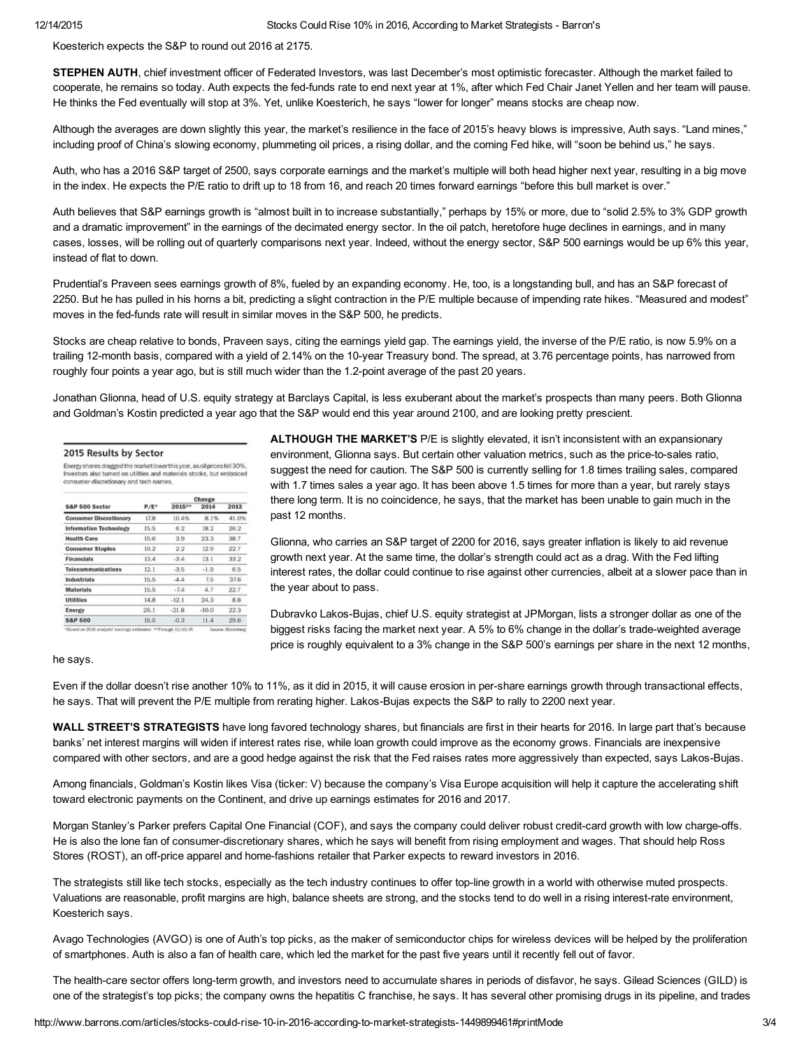Koesterich expects the S&P to round out 2016 at 2175.

STEPHEN AUTH, chief investment officer of Federated Investors, was last December's most optimistic forecaster. Although the market failed to cooperate, he remains so today. Auth expects the fed-funds rate to end next year at 1%, after which Fed Chair Janet Yellen and her team will pause. He thinks the Fed eventually will stop at 3%. Yet, unlike Koesterich, he says "lower for longer" means stocks are cheap now.

Although the averages are down slightly this year, the market's resilience in the face of 2015's heavy blows is impressive, Auth says. "Land mines," including proof of China's slowing economy, plummeting oil prices, a rising dollar, and the coming Fed hike, will "soon be behind us," he says.

Auth, who has a 2016 S&P target of 2500, says corporate earnings and the market's multiple will both head higher next year, resulting in a big move in the index. He expects the P/E ratio to drift up to 18 from 16, and reach 20 times forward earnings "before this bull market is over."

Auth believes that S&P earnings growth is "almost built in to increase substantially," perhaps by 15% or more, due to "solid 2.5% to 3% GDP growth and a dramatic improvement" in the earnings of the decimated energy sector. In the oil patch, heretofore huge declines in earnings, and in many cases, losses, will be rolling out of quarterly comparisons next year. Indeed, without the energy sector, S&P 500 earnings would be up 6% this year, instead of flat to down.

Prudential's Praveen sees earnings growth of 8%, fueled by an expanding economy. He, too, is a longstanding bull, and has an S&P forecast of 2250. But he has pulled in his horns a bit, predicting a slight contraction in the P/E multiple because of impending rate hikes. "Measured and modest" moves in the fed-funds rate will result in similar moves in the S&P 500, he predicts.

Stocks are cheap relative to bonds, Praveen says, citing the earnings yield gap. The earnings yield, the inverse of the P/E ratio, is now 5.9% on a trailing 12-month basis, compared with a yield of 2.14% on the 10-year Treasury bond. The spread, at 3.76 percentage points, has narrowed from roughly four points a year ago, but is still much wider than the 1.2-point average of the past 20 years.

Jonathan Glionna, head of U.S. equity strategy at Barclays Capital, is less exuberant about the market's prospects than many peers. Both Glionna and Goldman's Kostin predicted a year ago that the S&P would end this year around 2100, and are looking pretty prescient.

| Energy shares dragged the market lower this year, as oil prices fell 30%.<br>Investors also turned on utilities and materials stocks, but embraced<br>consumer-discretionary and tech names. |         |         |         |       |  |  |  |  |  |
|----------------------------------------------------------------------------------------------------------------------------------------------------------------------------------------------|---------|---------|---------|-------|--|--|--|--|--|
|                                                                                                                                                                                              |         | Change  |         |       |  |  |  |  |  |
| S&P 500 Sector                                                                                                                                                                               | $P/E$ * | 2015**  | 2014    | 2013  |  |  |  |  |  |
| <b>Consumer Discretionary</b>                                                                                                                                                                | 17.8    | 10.4%   | 8.1%    | 41.0% |  |  |  |  |  |
| <b>Information Technology</b>                                                                                                                                                                | 15.5    | 6.2     | 18.2    | 26.2  |  |  |  |  |  |
| <b>Health Care</b>                                                                                                                                                                           | 15.6    | 3.9     | 23.3    | 38.7  |  |  |  |  |  |
| <b>Consumer Staples</b>                                                                                                                                                                      | 19.2    | 2.2     | 12.9    | 22.7  |  |  |  |  |  |
| <b>Financials</b>                                                                                                                                                                            | 13.4    | $-3.4$  | 13.1    | 33.2  |  |  |  |  |  |
| Telecommunications                                                                                                                                                                           | 12.1    | $-3.5$  | $-1.9$  | 6.5   |  |  |  |  |  |
| Industrials                                                                                                                                                                                  | 15.5    | $-4.4$  | 7.5     | 37.6  |  |  |  |  |  |
| <b>Materials</b>                                                                                                                                                                             | 15.5    | $-7.4$  | 4.7     | 22.7  |  |  |  |  |  |
| <b>Utilities</b>                                                                                                                                                                             | 14.8    | $-12.1$ | 24.3    | 8.8   |  |  |  |  |  |
| Energy                                                                                                                                                                                       | 26.1    | $-21.8$ | $-10.0$ | 22.3  |  |  |  |  |  |
| <b>S&amp;P 500</b>                                                                                                                                                                           | 16.0    | $-0.3$  | 11.4    | 29.6  |  |  |  |  |  |

ALTHOUGH THE MARKET'S P/E is slightly elevated, it isn't inconsistent with an expansionary environment, Glionna says. But certain other valuation metrics, such as the price-to-sales ratio, suggest the need for caution. The S&P 500 is currently selling for 1.8 times trailing sales, compared with 1.7 times sales a year ago. It has been above 1.5 times for more than a year, but rarely stays there long term. It is no coincidence, he says, that the market has been unable to gain much in the past 12 months.

Glionna, who carries an S&P target of 2200 for 2016, says greater inflation is likely to aid revenue growth next year. At the same time, the dollar's strength could act as a drag. With the Fed lifting interest rates, the dollar could continue to rise against other currencies, albeit at a slower pace than in the year about to pass.

Dubravko Lakos-Bujas, chief U.S. equity strategist at JPMorgan, lists a stronger dollar as one of the biggest risks facing the market next year. A 5% to 6% change in the dollar's tradeweighted average price is roughly equivalent to a 3% change in the S&P 500's earnings per share in the next 12 months,

## he says.

Even if the dollar doesn't rise another 10% to 11%, as it did in 2015, it will cause erosion in pershare earnings growth through transactional effects, he says. That will prevent the P/E multiple from rerating higher. Lakos-Bujas expects the S&P to rally to 2200 next year.

WALL STREET'S STRATEGISTS have long favored technology shares, but financials are first in their hearts for 2016. In large part that's because banks' net interest margins will widen if interest rates rise, while loan growth could improve as the economy grows. Financials are inexpensive compared with other sectors, and are a good hedge against the risk that the Fed raises rates more aggressively than expected, says Lakos-Bujas.

Among financials, Goldman's Kostin likes [Visa](http://quotes.barrons.com/V) (ticker: V) because the company's Visa Europe acquisition will help it capture the accelerating shift toward electronic payments on the Continent, and drive up earnings estimates for 2016 and 2017.

Morgan Stanley's Parker prefers Capital One [Financial](http://quotes.barrons.com/COF) (COF), and says the company could deliver robust credit-card growth with low charge-offs. He is also the lone fan of consumer-discretionary shares, which he says will benefit from rising employment and wages. That should help Ross Stores (ROST), an off-price apparel and home-fashions retailer that Parker expects to reward investors in 2016.

The strategists still like tech stocks, especially as the tech industry continues to offer top-line growth in a world with otherwise muted prospects. Valuations are reasonable, profit margins are high, balance sheets are strong, and the stocks tend to do well in a rising interest-rate environment, Koesterich says.

Avago [Technologies](http://quotes.barrons.com/AVGO) (AVGO) is one of Auth's top picks, as the maker of semiconductor chips for wireless devices will be helped by the proliferation of smartphones. Auth is also a fan of health care, which led the market for the past five years until it recently fell out of favor.

The health-care sector offers long-term growth, and investors need to accumulate shares in periods of disfavor, he says. Gilead [Sciences](http://quotes.barrons.com/GILD) (GILD) is one of the strategist's top picks; the company owns the hepatitis C franchise, he says. It has several other promising drugs in its pipeline, and trades